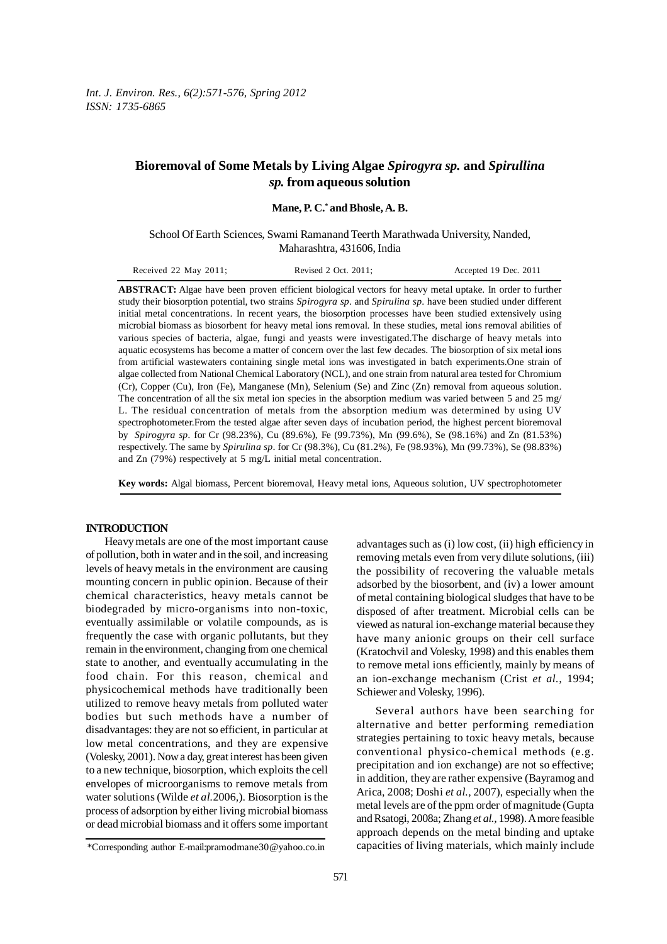# **Bioremoval of Some Metals by Living Algae** *Spirogyra sp.* **and** *Spirullina sp.* **from aqueous solution**

**Mane, P. C.\* and Bhosle, A. B.**

School Of Earth Sciences, Swami Ramanand Teerth Marathwada University, Nanded, Maharashtra, 431606, India

| Received 22 May 2011; | Revised 2 Oct. 2011; | Accepted 19 Dec. 2011 |
|-----------------------|----------------------|-----------------------|
|-----------------------|----------------------|-----------------------|

**ABSTRACT:** Algae have been proven efficient biological vectors for heavy metal uptake. In order to further study their biosorption potential, two strains *Spirogyra sp.* and *Spirulina sp*. have been studied under different initial metal concentrations. In recent years, the biosorption processes have been studied extensively using microbial biomass as biosorbent for heavy metal ions removal. In these studies, metal ions removal abilities of various species of bacteria, algae, fungi and yeasts were investigated.The discharge of heavy metals into aquatic ecosystems has become a matter of concern over the last few decades. The biosorption of six metal ions from artificial wastewaters containing single metal ions was investigated in batch experiments.One strain of algae collected from National Chemical Laboratory (NCL), and one strain from natural area tested for Chromium (Cr), Copper (Cu), Iron (Fe), Manganese (Mn), Selenium (Se) and Zinc (Zn) removal from aqueous solution. The concentration of all the six metal ion species in the absorption medium was varied between 5 and 25 mg/ L. The residual concentration of metals from the absorption medium was determined by using UV spectrophotometer.From the tested algae after seven days of incubation period, the highest percent bioremoval by *Spirogyra sp.* for Cr (98.23%), Cu (89.6%), Fe (99.73%), Mn (99.6%), Se (98.16%) and Zn (81.53%) respectively. The same by *Spirulina sp*. for Cr (98.3%), Cu (81.2%), Fe (98.93%), Mn (99.73%), Se (98.83%) and Zn (79%) respectively at 5 mg/L initial metal concentration.

**Key words:** Algal biomass, Percent bioremoval, Heavy metal ions, Aqueous solution, UV spectrophotometer

## **INTRODUCTION**

Heavy metals are one of the most important cause of pollution, both in water and in the soil, and increasing levels of heavy metals in the environment are causing mounting concern in public opinion. Because of their chemical characteristics, heavy metals cannot be biodegraded by micro-organisms into non-toxic, eventually assimilable or volatile compounds, as is frequently the case with organic pollutants, but they remain in the environment, changing from one chemical state to another, and eventually accumulating in the food chain. For this reason, chemical and physicochemical methods have traditionally been utilized to remove heavy metals from polluted water bodies but such methods have a number of disadvantages: they are not so efficient, in particular at low metal concentrations, and they are expensive (Volesky, 2001). Now a day, great interest has been given to a new technique, biosorption, which exploits the cell envelopes of microorganisms to remove metals from water solutions (Wilde *et al.*2006*,*). Biosorption is the process of adsorption by either living microbial biomass or dead microbial biomass and it offers some important

advantages such as (i) low cost, (ii) high efficiency in removing metals even from very dilute solutions, (iii) the possibility of recovering the valuable metals adsorbed by the biosorbent, and (iv) a lower amount of metal containing biological sludges that have to be disposed of after treatment. Microbial cells can be viewed as natural ion-exchange material because they have many anionic groups on their cell surface (Kratochvil and Volesky, 1998) and this enables them to remove metal ions efficiently, mainly by means of an ion-exchange mechanism (Crist *et al.,* 1994; Schiewer and Volesky, 1996).

Several authors have been searching for alternative and better performing remediation strategies pertaining to toxic heavy metals, because conventional physico-chemical methods (e.g. precipitation and ion exchange) are not so effective; in addition, they are rather expensive (Bayramog and Arica, 2008; Doshi *et al.,* 2007), especially when the metal levels are of the ppm order of magnitude (Gupta and Rsatogi, 2008a; Zhang *et al.,* 1998). A more feasible approach depends on the metal binding and uptake capacities of living materials, which mainly include

<sup>\*</sup>Corresponding author E-mail:pramodmane30@yahoo.co.in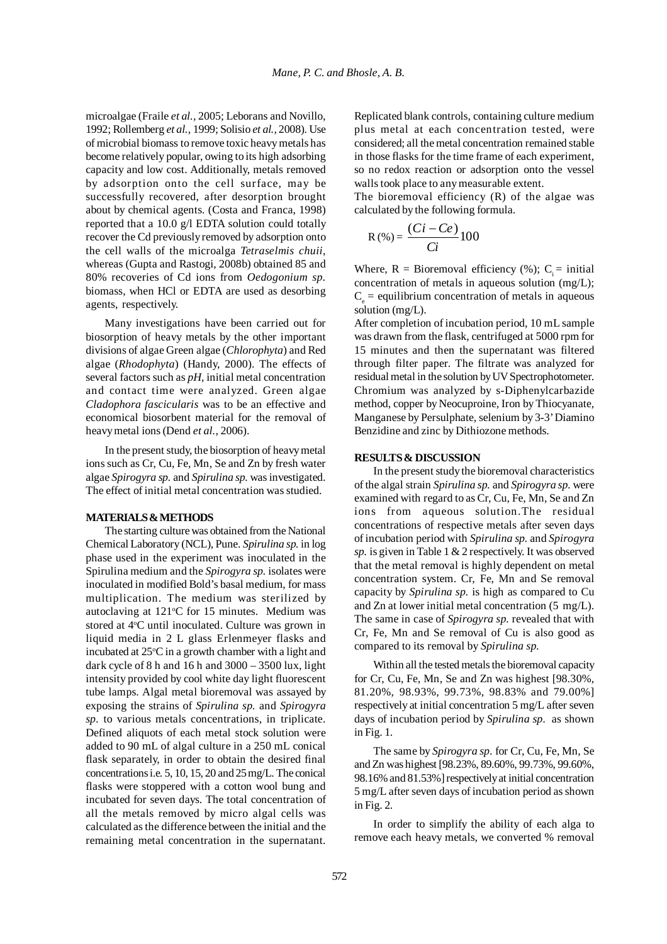microalgae (Fraile *et al.,* 2005; Leborans and Novillo, 1992; Rollemberg *et al.,* 1999; Solisio *et al.,* 2008). Use of microbial biomass to remove toxic heavy metals has become relatively popular, owing to its high adsorbing capacity and low cost. Additionally, metals removed by adsorption onto the cell surface, may be successfully recovered, after desorption brought about by chemical agents. (Costa and Franca, 1998) reported that a 10.0 g/l EDTA solution could totally recover the Cd previously removed by adsorption onto the cell walls of the microalga *Tetraselmis chuii*, whereas (Gupta and Rastogi, 2008b) obtained 85 and 80% recoveries of Cd ions from *Oedogonium sp.* biomass, when HCl or EDTA are used as desorbing agents, respectively.

Many investigations have been carried out for biosorption of heavy metals by the other important divisions of algae Green algae (*Chlorophyta*) and Red algae (*Rhodophyta*) (Handy, 2000). The effects of several factors such as *pH*, initial metal concentration and contact time were analyzed. Green algae *Cladophora fascicularis* was to be an effective and economical biosorbent material for the removal of heavy metal ions (Dend *et al.,* 2006).

In the present study, the biosorption of heavy metal ions such as Cr, Cu, Fe, Mn, Se and Zn by fresh water algae *Spirogyra sp.* and *Spirulina sp.* was investigated. The effect of initial metal concentration was studied.

## **MATERIALS & METHODS**

The starting culture was obtained from the National Chemical Laboratory (NCL), Pune. *Spirulina sp.* in log phase used in the experiment was inoculated in the Spirulina medium and the *Spirogyra sp.* isolates were inoculated in modified Bold's basal medium, for mass multiplication. The medium was sterilized by autoclaving at 121°C for 15 minutes. Medium was stored at 4°C until inoculated. Culture was grown in liquid media in 2 L glass Erlenmeyer flasks and incubated at  $25^{\circ}$ C in a growth chamber with a light and dark cycle of 8 h and 16 h and  $3000 - 3500$  lux, light intensity provided by cool white day light fluorescent tube lamps. Algal metal bioremoval was assayed by exposing the strains of *Spirulina sp.* and *Spirogyra sp.* to various metals concentrations, in triplicate. Defined aliquots of each metal stock solution were added to 90 mL of algal culture in a 250 mL conical flask separately, in order to obtain the desired final concentrations i.e. 5, 10, 15, 20 and 25 mg/L. The conical flasks were stoppered with a cotton wool bung and incubated for seven days. The total concentration of all the metals removed by micro algal cells was calculated as the difference between the initial and the remaining metal concentration in the supernatant.

Replicated blank controls, containing culture medium plus metal at each concentration tested, were considered; all the metal concentration remained stable in those flasks for the time frame of each experiment, so no redox reaction or adsorption onto the vessel walls took place to any measurable extent.

The bioremoval efficiency (R) of the algae was calculated by the following formula.

$$
R(\%) = \frac{(Ci - Ce)}{Ci}100
$$

Where,  $R = Bioremoval efficiency (%); C = initial$ concentration of metals in aqueous solution (mg/L);  $C_e$  = equilibrium concentration of metals in aqueous solution (mg/L).

After completion of incubation period, 10 mL sample was drawn from the flask, centrifuged at 5000 rpm for 15 minutes and then the supernatant was filtered through filter paper. The filtrate was analyzed for residual metal in the solution by UV Spectrophotometer. Chromium was analyzed by s-Diphenylcarbazide method, copper by Neocuproine, Iron by Thiocyanate, Manganese by Persulphate, selenium by 3-3'Diamino Benzidine and zinc by Dithiozone methods.

#### **RESULTS & DISCUSSION**

In the present study the bioremoval characteristics of the algal strain *Spirulina sp.* and *Spirogyra sp.* were examined with regard to as Cr, Cu, Fe, Mn, Se and Zn ions from aqueous solution.The residual concentrations of respective metals after seven days of incubation period with *Spirulina sp.* and *Spirogyra sp.* is given in Table 1 & 2 respectively. It was observed that the metal removal is highly dependent on metal concentration system. Cr, Fe, Mn and Se removal capacity by *Spirulina sp.* is high as compared to Cu and Zn at lower initial metal concentration (5 mg/L). The same in case of *Spirogyra sp.* revealed that with Cr, Fe, Mn and Se removal of Cu is also good as compared to its removal by *Spirulina sp.*

Within all the tested metals the bioremoval capacity for Cr, Cu, Fe, Mn, Se and Zn was highest [98.30%, 81.20%, 98.93%, 99.73%, 98.83% and 79.00%] respectively at initial concentration 5 mg/L after seven days of incubation period by *Spirulina sp.* as shown in Fig. 1.

The same by *Spirogyra sp.* for Cr, Cu, Fe, Mn, Se and Zn was highest [98.23%, 89.60%, 99.73%, 99.60%, 98.16% and 81.53%] respectively at initial concentration 5 mg/L after seven days of incubation period as shown in Fig. 2.

In order to simplify the ability of each alga to remove each heavy metals, we converted % removal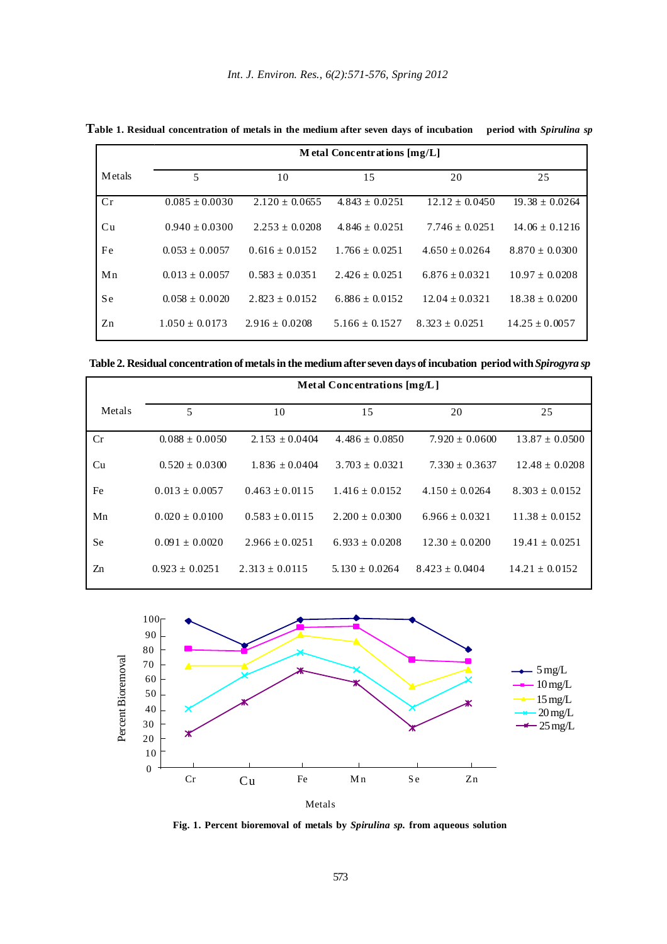|        | M etal Concentrations $[mg/L]$ |                    |                    |                    |                    |  |  |  |  |
|--------|--------------------------------|--------------------|--------------------|--------------------|--------------------|--|--|--|--|
| Metals | 5                              | 10                 |                    | 20                 | 25                 |  |  |  |  |
| Cr     | $0.085 \pm 0.0030$             | $2.120 \pm 0.0655$ | $4.843 \pm 0.0251$ | $12.12 \pm 0.0450$ | $19.38 \pm 0.0264$ |  |  |  |  |
| Cu     | $0.940 \pm 0.0300$             | $2.253 + 0.0208$   | $4.846 \pm 0.0251$ | $7.746 \pm 0.0251$ | $14.06 \pm 0.1216$ |  |  |  |  |
| Fe     | $0.053 + 0.0057$               | $0.616 \pm 0.0152$ | $1.766 \pm 0.0251$ | $4.650 + 0.0264$   | $8.870 \pm 0.0300$ |  |  |  |  |
| Mn     | $0.013 + 0.0057$               | $0.583 \pm 0.0351$ | $2.426 \pm 0.0251$ | $6.876 \pm 0.0321$ | $10.97 \pm 0.0208$ |  |  |  |  |
| S e    | $0.058 \pm 0.0020$             | $2.823 \pm 0.0152$ | $6.886 \pm 0.0152$ | $12.04 \pm 0.0321$ | $18.38 \pm 0.0200$ |  |  |  |  |
| Zn     | $1.050 \pm 0.0173$             | $2.916 \pm 0.0208$ | $5.166 \pm 0.1527$ | $8.323 \pm 0.0251$ | $14.25 \pm 0.0057$ |  |  |  |  |

**Table 1. Residual concentration of metals in the medium after seven days of incubation period with** *Spirulina sp*

**Table 2. Residual concentration of metals in the medium after seven days of incubation period with** *Spirogyra sp*

|           | Metal Concentrations [mg/L] |                    |                    |                    |                    |  |  |  |  |
|-----------|-----------------------------|--------------------|--------------------|--------------------|--------------------|--|--|--|--|
| Metals    | 5<br>10                     |                    | 15                 | 20                 | 25                 |  |  |  |  |
| Cr        | $0.088 \pm 0.0050$          | $2.153 + 0.0404$   | $4.486 \pm 0.0850$ | $7.920 \pm 0.0600$ | $13.87 \pm 0.0500$ |  |  |  |  |
| Cu        | $0.520 \pm 0.0300$          | $1.836 + 0.0404$   | $3.703 + 0.0321$   | $7.330 + 0.3637$   | $12.48 \pm 0.0208$ |  |  |  |  |
| Fe        | $0.013 \pm 0.0057$          | $0.463 \pm 0.0115$ | $1.416 \pm 0.0152$ | $4.150 \pm 0.0264$ | $8.303 \pm 0.0152$ |  |  |  |  |
| Mn        | $0.020 \pm 0.0100$          | $0.583 + 0.0115$   | $2.200 \pm 0.0300$ | $6.966 \pm 0.0321$ | $11.38 \pm 0.0152$ |  |  |  |  |
| <b>Se</b> | $0.091 \pm 0.0020$          | $2.966 \pm 0.0251$ | $6.933 \pm 0.0208$ | $12.30 \pm 0.0200$ | $19.41 \pm 0.0251$ |  |  |  |  |
| Zn        | $0.923 + 0.0251$            | $2.313 \pm 0.0115$ | $5.130 \pm 0.0264$ | $8.423 + 0.0404$   | $14.21 \pm 0.0152$ |  |  |  |  |



**Fig. 1. Percent bioremoval of metals by** *Spirulina sp.* **from aqueous solution**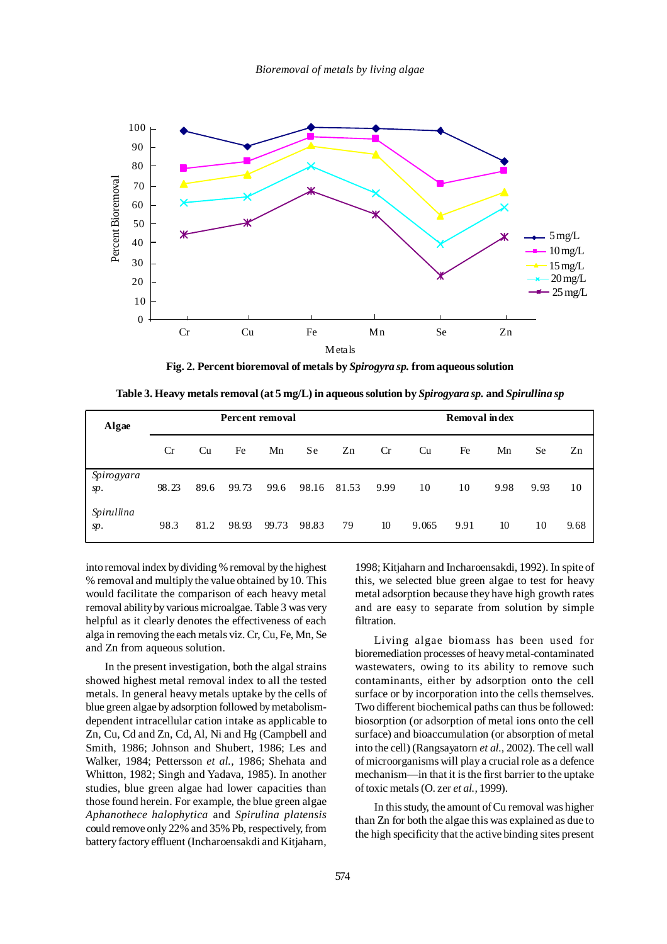

**Fig. 2. Percent bioremoval of metals by** *Spirogyra sp.* **from aqueous solution**

**Table 3. Heavy metals removal (at 5 mg/L) in aqueous solution by** *Spirogyara sp.* **and** *Spirullina sp*

| Algae             | Percent removal |      |       |       |       |       | <b>Removal index</b> |       |      |      |      |      |
|-------------------|-----------------|------|-------|-------|-------|-------|----------------------|-------|------|------|------|------|
|                   | <b>Cr</b>       | Cu   | Fe    | Mn    | S e   | Zn    | Cr                   | Cu    | Fe   | Mn   | Se   | Zn   |
| Spirogyara<br>sp. | 98.23           | 89.6 | 99.73 | 99.6  | 98.16 | 81.53 | 9.99                 | 10    | 10   | 9.98 | 9.93 | 10   |
| Spirullina<br>sp. | 98.3            | 81.2 | 98.93 | 99.73 | 98.83 | 79    | 10                   | 9.065 | 9.91 | 10   | 10   | 9.68 |

into removal index by dividing % removal by the highest % removal and multiply the value obtained by 10. This would facilitate the comparison of each heavy metal removal ability by various microalgae. Table 3 was very helpful as it clearly denotes the effectiveness of each alga in removing the each metals viz. Cr, Cu, Fe, Mn, Se and Zn from aqueous solution.

In the present investigation, both the algal strains showed highest metal removal index to all the tested metals. In general heavy metals uptake by the cells of blue green algae by adsorption followed by metabolismdependent intracellular cation intake as applicable to Zn, Cu, Cd and Zn, Cd, Al, Ni and Hg (Campbell and Smith, 1986; Johnson and Shubert, 1986; Les and Walker, 1984; Pettersson *et al.,* 1986; Shehata and Whitton, 1982; Singh and Yadava, 1985). In another studies, blue green algae had lower capacities than those found herein. For example, the blue green algae *Aphanothece halophytica* and *Spirulina platensis* could remove only 22% and 35% Pb, respectively, from battery factory effluent (Incharoensakdi and Kitjaharn,

1998; Kitjaharn and Incharoensakdi, 1992). In spite of this, we selected blue green algae to test for heavy metal adsorption because they have high growth rates and are easy to separate from solution by simple filtration.

Living algae biomass has been used for bioremediation processes of heavy metal-contaminated wastewaters, owing to its ability to remove such contaminants, either by adsorption onto the cell surface or by incorporation into the cells themselves. Two different biochemical paths can thus be followed: biosorption (or adsorption of metal ions onto the cell surface) and bioaccumulation (or absorption of metal into the cell) (Rangsayatorn *et al.,* 2002). The cell wall of microorganisms will play a crucial role as a defence mechanism—in that it is the first barrier to the uptake of toxic metals (O. zer *et al.,* 1999).

In this study, the amount of Cu removal was higher than Zn for both the algae this was explained as due to the high specificity that the active binding sites present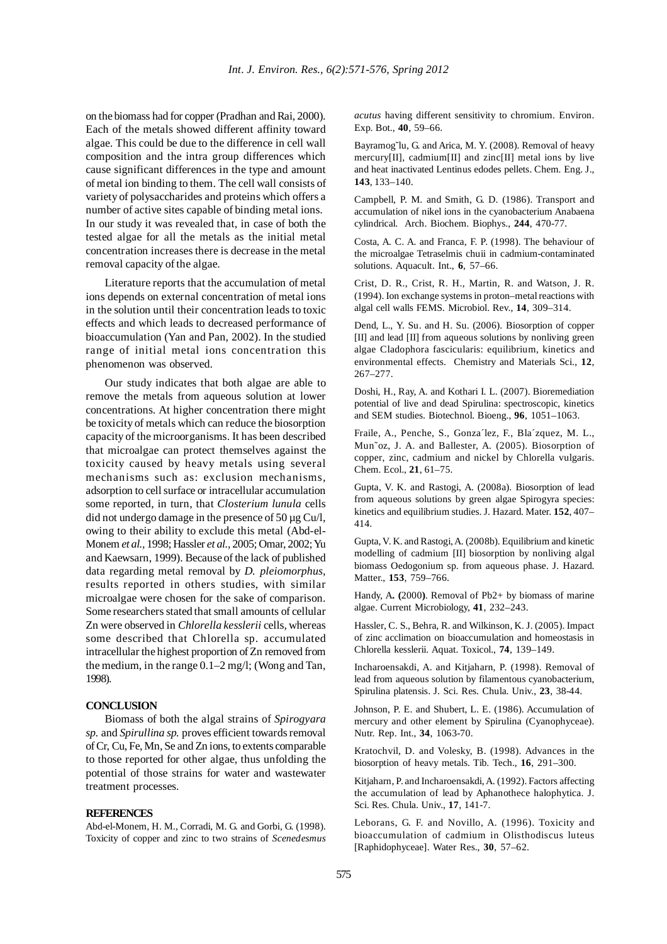on the biomass had for copper (Pradhan and Rai, 2000). Each of the metals showed different affinity toward algae. This could be due to the difference in cell wall composition and the intra group differences which cause significant differences in the type and amount of metal ion binding to them. The cell wall consists of variety of polysaccharides and proteins which offers a number of active sites capable of binding metal ions. In our study it was revealed that, in case of both the tested algae for all the metals as the initial metal concentration increases there is decrease in the metal removal capacity of the algae.

Literature reports that the accumulation of metal ions depends on external concentration of metal ions in the solution until their concentration leads to toxic effects and which leads to decreased performance of bioaccumulation (Yan and Pan, 2002). In the studied range of initial metal ions concentration this phenomenon was observed.

Our study indicates that both algae are able to remove the metals from aqueous solution at lower concentrations. At higher concentration there might be toxicity of metals which can reduce the biosorption capacity of the microorganisms. It has been described that microalgae can protect themselves against the toxicity caused by heavy metals using several mechanisms such as: exclusion mechanisms, adsorption to cell surface or intracellular accumulation some reported, in turn, that *Closterium lunula* cells did not undergo damage in the presence of  $50 \mu$ g Cu/l, owing to their ability to exclude this metal (Abd-el-Monem *et al.,* 1998; Hassler *et al.,* 2005; Omar, 2002; Yu and Kaewsarn, 1999). Because of the lack of published data regarding metal removal by *D. pleiomorphus*, results reported in others studies, with similar microalgae were chosen for the sake of comparison. Some researchers stated that small amounts of cellular Zn were observed in *Chlorella kesslerii* cells, whereas some described that Chlorella sp. accumulated intracellular the highest proportion of Zn removed from the medium, in the range 0.1–2 mg/l; (Wong and Tan, 1998).

## **CONCLUSION**

Biomass of both the algal strains of *Spirogyara sp.* and *Spirullina sp.* proves efficient towards removal of Cr, Cu, Fe, Mn, Se and Zn ions, to extents comparable to those reported for other algae, thus unfolding the potential of those strains for water and wastewater treatment processes.

### **REFERENCES**

Abd-el-Monem, H. M., Corradi, M. G. and Gorbi, G. (1998). Toxicity of copper and zinc to two strains of *Scenedesmus* *acutus* having different sensitivity to chromium. Environ. Exp. Bot., **40**, 59–66.

Bayramog˘lu, G. and Arica, M. Y. (2008). Removal of heavy mercury[II], cadmium<sup>[II]</sup> and zinc<sup>[II]</sup> metal ions by live and heat inactivated Lentinus edodes pellets. Chem. Eng. J., **143**, 133–140.

Campbell, P. M. and Smith, G. D. (1986). Transport and accumulation of nikel ions in the cyanobacterium Anabaena cylindrical. Arch. Biochem. Biophys., **244**, 470-77.

Costa, A. C. A. and Franca, F. P. (1998). The behaviour of the microalgae Tetraselmis chuii in cadmium-contaminated solutions. Aquacult. Int., **6**, 57–66.

Crist, D. R., Crist, R. H., Martin, R. and Watson, J. R. (1994). Ion exchange systems in proton–metal reactions with algal cell walls FEMS. Microbiol. Rev., **14**, 309–314.

Dend, L., Y. Su. and H. Su. (2006). Biosorption of copper [II] and lead [II] from aqueous solutions by nonliving green algae Cladophora fascicularis: equilibrium, kinetics and environmental effects. Chemistry and Materials Sci., **12**, 267–277.

Doshi, H., Ray, A. and Kothari I. L. (2007). Bioremediation potential of live and dead Spirulina: spectroscopic, kinetics and SEM studies. Biotechnol. Bioeng., **96**, 1051–1063.

Fraile, A., Penche, S., Gonza´lez, F., Bla´zquez, M. L., Mun˜oz, J. A. and Ballester, A. (2005). Biosorption of copper, zinc, cadmium and nickel by Chlorella vulgaris. Chem. Ecol., **21**, 61–75.

Gupta, V. K. and Rastogi, A. (2008a). Biosorption of lead from aqueous solutions by green algae Spirogyra species: kinetics and equilibrium studies. J. Hazard. Mater. **152**, 407– 414.

Gupta, V. K. and Rastogi, A. (2008b). Equilibrium and kinetic modelling of cadmium [II] biosorption by nonliving algal biomass Oedogonium sp. from aqueous phase. J. Hazard. Matter., **153**, 759–766.

Handy, A**. (**2000**)**. Removal of Pb2+ by biomass of marine algae. Current Microbiology, **41**, 232–243.

Hassler, C. S., Behra, R. and Wilkinson, K. J. (2005). Impact of zinc acclimation on bioaccumulation and homeostasis in Chlorella kesslerii. Aquat. Toxicol., **74**, 139–149.

Incharoensakdi, A. and Kitjaharn, P. (1998). Removal of lead from aqueous solution by filamentous cyanobacterium, Spirulina platensis. J. Sci. Res. Chula. Univ., **23**, 38-44.

Johnson, P. E. and Shubert, L. E. (1986). Accumulation of mercury and other element by Spirulina (Cyanophyceae). Nutr. Rep. Int., **34**, 1063-70.

Kratochvil, D. and Volesky, B. (1998). Advances in the biosorption of heavy metals. Tib. Tech., **16**, 291–300.

Kitjaharn, P. and Incharoensakdi, A. (1992). Factors affecting the accumulation of lead by Aphanothece halophytica. J. Sci. Res. Chula. Univ., **17**, 141-7.

Leborans, G. F. and Novillo, A. (1996). Toxicity and bioaccumulation of cadmium in Olisthodiscus luteus [Raphidophyceae]. Water Res., **30**, 57–62.